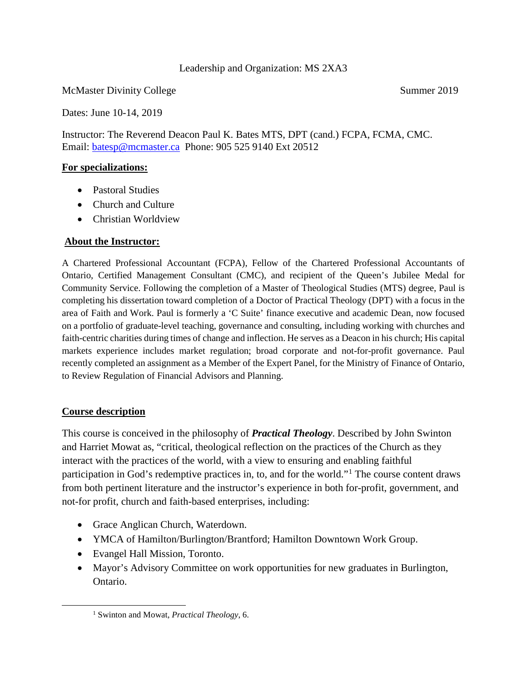#### Leadership and Organization: MS 2XA3

McMaster Divinity College Summer 2019

Dates: June 10-14, 2019

Instructor: The Reverend Deacon Paul K. Bates MTS, DPT (cand.) FCPA, FCMA, CMC. Email: [batesp@mcmaster.ca](mailto:batesp@mcmaster.ca) Phone: 905 525 9140 Ext 20512

#### **For specializations:**

- Pastoral Studies
- Church and Culture
- Christian Worldview

## **About the Instructor:**

A Chartered Professional Accountant (FCPA), Fellow of the Chartered Professional Accountants of Ontario, Certified Management Consultant (CMC), and recipient of the Queen's Jubilee Medal for Community Service. Following the completion of a Master of Theological Studies (MTS) degree, Paul is completing his dissertation toward completion of a Doctor of Practical Theology (DPT) with a focus in the area of Faith and Work. Paul is formerly a 'C Suite' finance executive and academic Dean, now focused on a portfolio of graduate-level teaching, governance and consulting, including working with churches and faith-centric charities during times of change and inflection. He serves as a Deacon in his church; His capital markets experience includes market regulation; broad corporate and not-for-profit governance. Paul recently completed an assignment as a Member of the Expert Panel, for the Ministry of Finance of Ontario, to Review Regulation of Financial Advisors and Planning.

## **Course description**

<span id="page-0-0"></span> $\overline{a}$ 

This course is conceived in the philosophy of *Practical Theology*. Described by John Swinton and Harriet Mowat as, "critical, theological reflection on the practices of the Church as they interact with the practices of the world, with a view to ensuring and enabling faithful participation in God's redemptive practices in, to, and for the world."[1](#page-0-0) The course content draws from both pertinent literature and the instructor's experience in both for-profit, government, and not-for profit, church and faith-based enterprises, including:

- Grace Anglican Church, Waterdown.
- YMCA of Hamilton/Burlington/Brantford; Hamilton Downtown Work Group.
- Evangel Hall Mission, Toronto.
- Mayor's Advisory Committee on work opportunities for new graduates in Burlington, Ontario.

<sup>1</sup> Swinton and Mowat, *Practical Theology*, 6.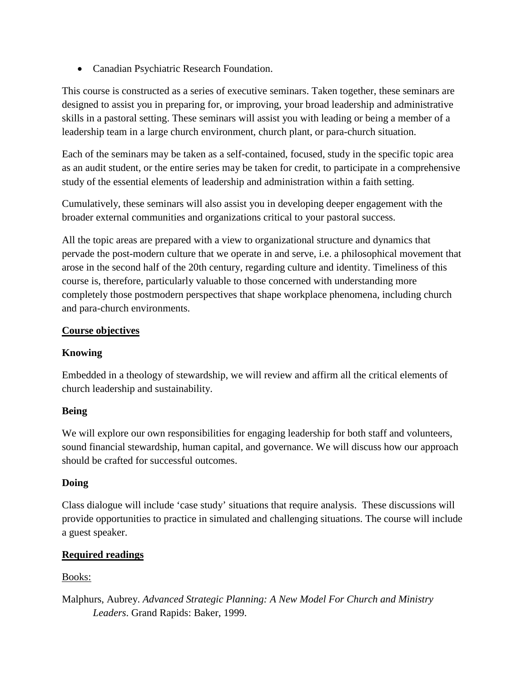• Canadian Psychiatric Research Foundation.

This course is constructed as a series of executive seminars. Taken together, these seminars are designed to assist you in preparing for, or improving, your broad leadership and administrative skills in a pastoral setting. These seminars will assist you with leading or being a member of a leadership team in a large church environment, church plant, or para-church situation.

Each of the seminars may be taken as a self-contained, focused, study in the specific topic area as an audit student, or the entire series may be taken for credit, to participate in a comprehensive study of the essential elements of leadership and administration within a faith setting.

Cumulatively, these seminars will also assist you in developing deeper engagement with the broader external communities and organizations critical to your pastoral success.

All the topic areas are prepared with a view to organizational structure and dynamics that pervade the post-modern culture that we operate in and serve, i.e. a philosophical movement that arose in the second half of the 20th century, regarding culture and identity. Timeliness of this course is, therefore, particularly valuable to those concerned with understanding more completely those postmodern perspectives that shape workplace phenomena, including church and para-church environments.

# **Course objectives**

# **Knowing**

Embedded in a theology of stewardship, we will review and affirm all the critical elements of church leadership and sustainability.

# **Being**

We will explore our own responsibilities for engaging leadership for both staff and volunteers, sound financial stewardship, human capital, and governance. We will discuss how our approach should be crafted for successful outcomes.

# **Doing**

Class dialogue will include 'case study' situations that require analysis. These discussions will provide opportunities to practice in simulated and challenging situations. The course will include a guest speaker.

# **Required readings**

# Books:

Malphurs, Aubrey. *Advanced Strategic Planning: A New Model For Church and Ministry Leaders*. Grand Rapids: Baker, 1999.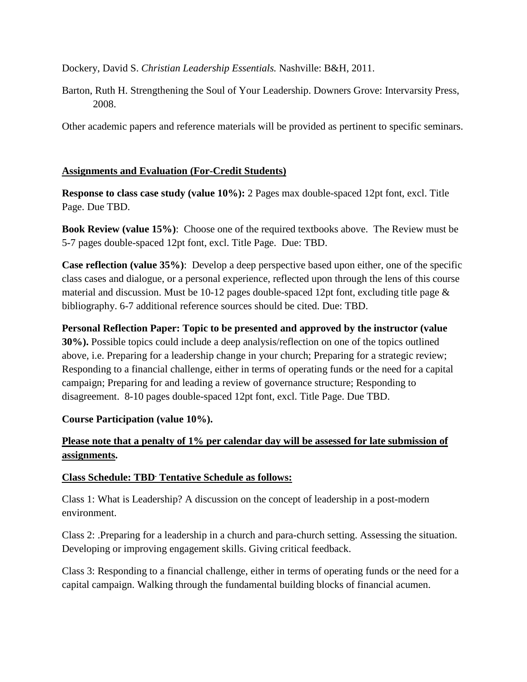Dockery, David S. *Christian Leadership Essentials.* Nashville: B&H, 2011.

Barton, Ruth H. Strengthening the Soul of Your Leadership. Downers Grove: Intervarsity Press, 2008.

Other academic papers and reference materials will be provided as pertinent to specific seminars.

## **Assignments and Evaluation (For-Credit Students)**

**Response to class case study (value 10%):** 2 Pages max double-spaced 12pt font, excl. Title Page. Due TBD.

**Book Review (value 15%)**: Choose one of the required textbooks above. The Review must be 5-7 pages double-spaced 12pt font, excl. Title Page. Due: TBD.

**Case reflection (value 35%)**: Develop a deep perspective based upon either, one of the specific class cases and dialogue, or a personal experience, reflected upon through the lens of this course material and discussion. Must be 10-12 pages double-spaced 12pt font, excluding title page & bibliography. 6-7 additional reference sources should be cited. Due: TBD.

**Personal Reflection Paper: Topic to be presented and approved by the instructor (value 30%).** Possible topics could include a deep analysis/reflection on one of the topics outlined above, i.e. Preparing for a leadership change in your church; Preparing for a strategic review; Responding to a financial challenge, either in terms of operating funds or the need for a capital campaign; Preparing for and leading a review of governance structure; Responding to disagreement. 8-10 pages double-spaced 12pt font, excl. Title Page. Due TBD.

## **Course Participation (value 10%).**

# **Please note that a penalty of 1% per calendar day will be assessed for late submission of assignments.**

## **Class Schedule: TBD. Tentative Schedule as follows:**

Class 1: What is Leadership? A discussion on the concept of leadership in a post-modern environment.

Class 2: .Preparing for a leadership in a church and para-church setting. Assessing the situation. Developing or improving engagement skills. Giving critical feedback.

Class 3: Responding to a financial challenge, either in terms of operating funds or the need for a capital campaign. Walking through the fundamental building blocks of financial acumen.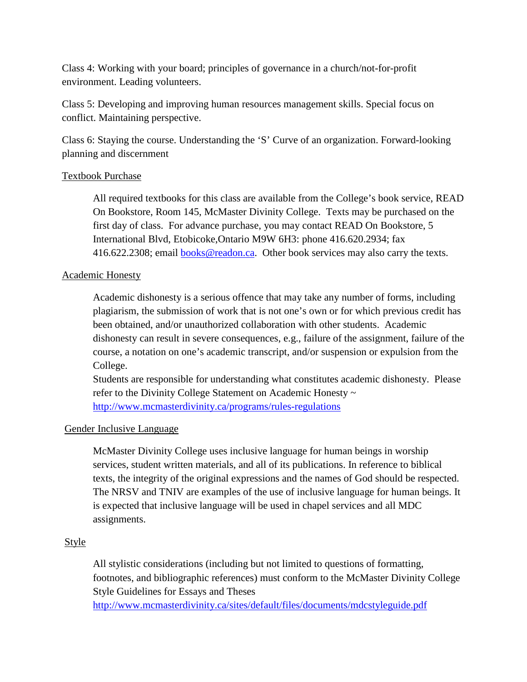Class 4: Working with your board; principles of governance in a church/not-for-profit environment. Leading volunteers.

Class 5: Developing and improving human resources management skills. Special focus on conflict. Maintaining perspective.

Class 6: Staying the course. Understanding the 'S' Curve of an organization. Forward-looking planning and discernment

## Textbook Purchase

All required textbooks for this class are available from the College's book service, READ On Bookstore, Room 145, McMaster Divinity College. Texts may be purchased on the first day of class. For advance purchase, you may contact READ On Bookstore, 5 International Blvd, Etobicoke,Ontario M9W 6H3: phone 416.620.2934; fax 416.622.2308; email **books@readon.ca.** Other book services may also carry the texts.

#### Academic Honesty

Academic dishonesty is a serious offence that may take any number of forms, including plagiarism, the submission of work that is not one's own or for which previous credit has been obtained, and/or unauthorized collaboration with other students. Academic dishonesty can result in severe consequences, e.g., failure of the assignment, failure of the course, a notation on one's academic transcript, and/or suspension or expulsion from the College.

Students are responsible for understanding what constitutes academic dishonesty. Please refer to the Divinity College Statement on Academic Honesty ~ <http://www.mcmasterdivinity.ca/programs/rules-regulations>

## Gender Inclusive Language

McMaster Divinity College uses inclusive language for human beings in worship services, student written materials, and all of its publications. In reference to biblical texts, the integrity of the original expressions and the names of God should be respected. The NRSV and TNIV are examples of the use of inclusive language for human beings. It is expected that inclusive language will be used in chapel services and all MDC assignments.

#### Style

All stylistic considerations (including but not limited to questions of formatting, footnotes, and bibliographic references) must conform to the McMaster Divinity College Style Guidelines for Essays and Theses

[http://www.mcmasterdivinity.ca/sites/default/files/documents/mdcstyleguide.pdf](http://www.mcmasterdivinity.ca/sites/default/files/documents/MDCStyleGuide.pdf)